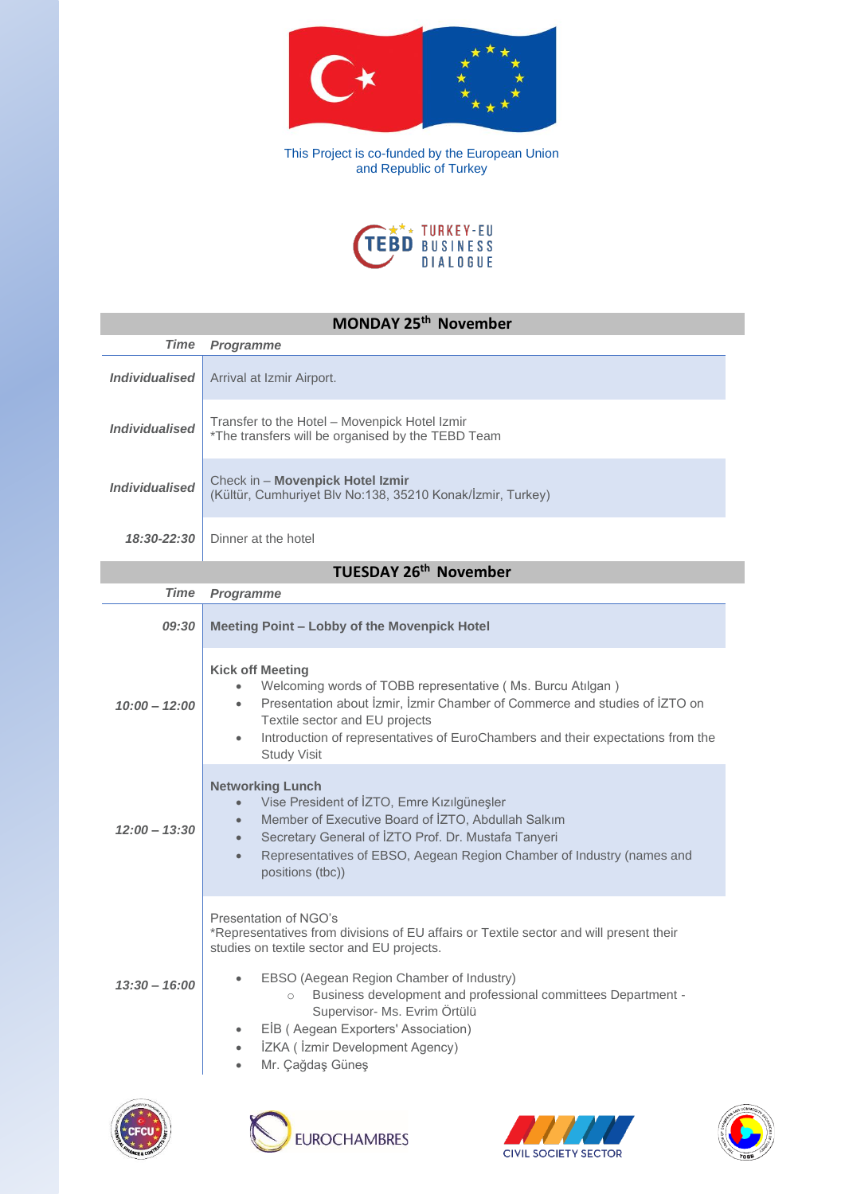

This Project is co-funded by the European Union and Republic of Turkey



## **MONDAY 25th November** *Time Programme* **Individualised** Arrival at Izmir Airport. *Individualised* Transfer to the Hotel – Movempick Hotel Izmir \*The transfers will be organised by the TEBD Team *Individualised* Check in – **Movenpick Hotel Izmir** (Kültür, Cumhuriyet Blv No:138, 35210 Konak/İzmir, Turkey) *18:30-22:30* Dinner at the hotel **TUESDAY 26th November** *Time Programme 09:30* **Meeting Point – Lobby of the Movenpick Hotel** *10:00 – 12:00* **Kick off Meeting** • Welcoming words of TOBB representative ( Ms. Burcu Atılgan ) • Presentation about İzmir, İzmir Chamber of Commerce and studies of İZTO on Textile sector and EU projects • Introduction of representatives of EuroChambers and their expectations from the Study Visit *12:00 – 13:30* **Networking Lunch** • Vise President of İZTO, Emre Kızılgüneşler • Member of Executive Board of İZTO, Abdullah Salkım • Secretary General of İZTO Prof. Dr. Mustafa Tanyeri • Representatives of EBSO, Aegean Region Chamber of Industry (names and positions (tbc)) *13:30 – 16:00* Presentation of NGO's \*Representatives from divisions of EU affairs or Textile sector and will present their studies on textile sector and EU projects. • EBSO (Aegean Region Chamber of Industry) o Business development and professional committees Department - Supervisor- Ms. Evrim Örtülü • EİB ( Aegean Exporters' Association) • İZKA ( İzmir Development Agency) • Mr. Çağdaş Güneş







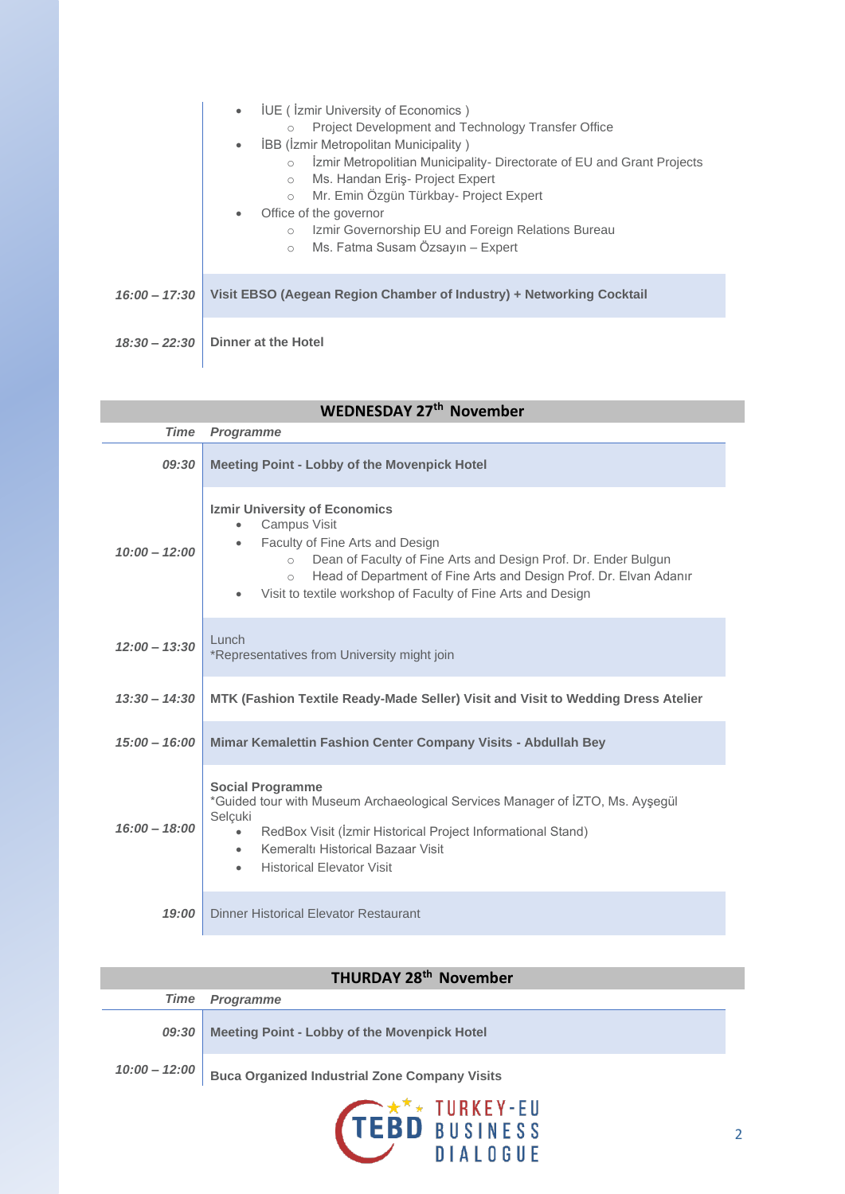|                 | <b>IUE</b> (Izmir University of Economics)<br>$\bullet$<br>Project Development and Technology Transfer Office<br><b>IBB (Izmir Metropolitan Municipality)</b><br>$\bullet$<br>İzmir Metropolitian Municipality- Directorate of EU and Grant Projects<br>Ms. Handan Eriş- Project Expert<br>$\circ$<br>Mr. Emin Özgün Türkbay- Project Expert<br>$\circ$<br>Office of the governor<br>$\bullet$<br>Izmir Governorship EU and Foreign Relations Bureau<br>$\circ$<br>Ms. Fatma Susam Özsayın – Expert<br>$\circ$ |
|-----------------|----------------------------------------------------------------------------------------------------------------------------------------------------------------------------------------------------------------------------------------------------------------------------------------------------------------------------------------------------------------------------------------------------------------------------------------------------------------------------------------------------------------|
| $16:00 - 17:30$ | Visit EBSO (Aegean Region Chamber of Industry) + Networking Cocktail                                                                                                                                                                                                                                                                                                                                                                                                                                           |
| $18:30 - 22:30$ | Dinner at the Hotel                                                                                                                                                                                                                                                                                                                                                                                                                                                                                            |

| <b>WEDNESDAY 27th November</b> |                                                                                                                                                                                                                                                                                                                                                                |  |
|--------------------------------|----------------------------------------------------------------------------------------------------------------------------------------------------------------------------------------------------------------------------------------------------------------------------------------------------------------------------------------------------------------|--|
| <b>Time</b>                    | <b>Programme</b>                                                                                                                                                                                                                                                                                                                                               |  |
| 09:30                          | <b>Meeting Point - Lobby of the Movenpick Hotel</b>                                                                                                                                                                                                                                                                                                            |  |
| $10:00 - 12:00$                | <b>Izmir University of Economics</b><br>Campus Visit<br>$\bullet$<br>Faculty of Fine Arts and Design<br>$\bullet$<br>Dean of Faculty of Fine Arts and Design Prof. Dr. Ender Bulgun<br>$\circ$<br>Head of Department of Fine Arts and Design Prof. Dr. Elvan Adanır<br>$\bigcirc$<br>Visit to textile workshop of Faculty of Fine Arts and Design<br>$\bullet$ |  |
| $12:00 - 13:30$                | Lunch<br>*Representatives from University might join                                                                                                                                                                                                                                                                                                           |  |
| $13:30 - 14:30$                | MTK (Fashion Textile Ready-Made Seller) Visit and Visit to Wedding Dress Atelier                                                                                                                                                                                                                                                                               |  |
| $15:00 - 16:00$                | Mimar Kemalettin Fashion Center Company Visits - Abdullah Bey                                                                                                                                                                                                                                                                                                  |  |
| $16:00 - 18:00$                | <b>Social Programme</b><br>*Guided tour with Museum Archaeological Services Manager of İZTO, Ms. Ayşegül<br>Selçuki<br>RedBox Visit (İzmir Historical Project Informational Stand)<br>$\bullet$<br>Kemeraltı Historical Bazaar Visit<br>$\bullet$<br><b>Historical Elevator Visit</b>                                                                          |  |
| 19:00                          | Dinner Historical Elevator Restaurant                                                                                                                                                                                                                                                                                                                          |  |

| <b>THURDAY 28th November</b> |                                                               |  |  |
|------------------------------|---------------------------------------------------------------|--|--|
|                              | <b>Time Programme</b>                                         |  |  |
| 09:30                        | <b>Meeting Point - Lobby of the Movenpick Hotel</b>           |  |  |
|                              | 10:00 - 12:00   Buca Organized Industrial Zone Company Visits |  |  |